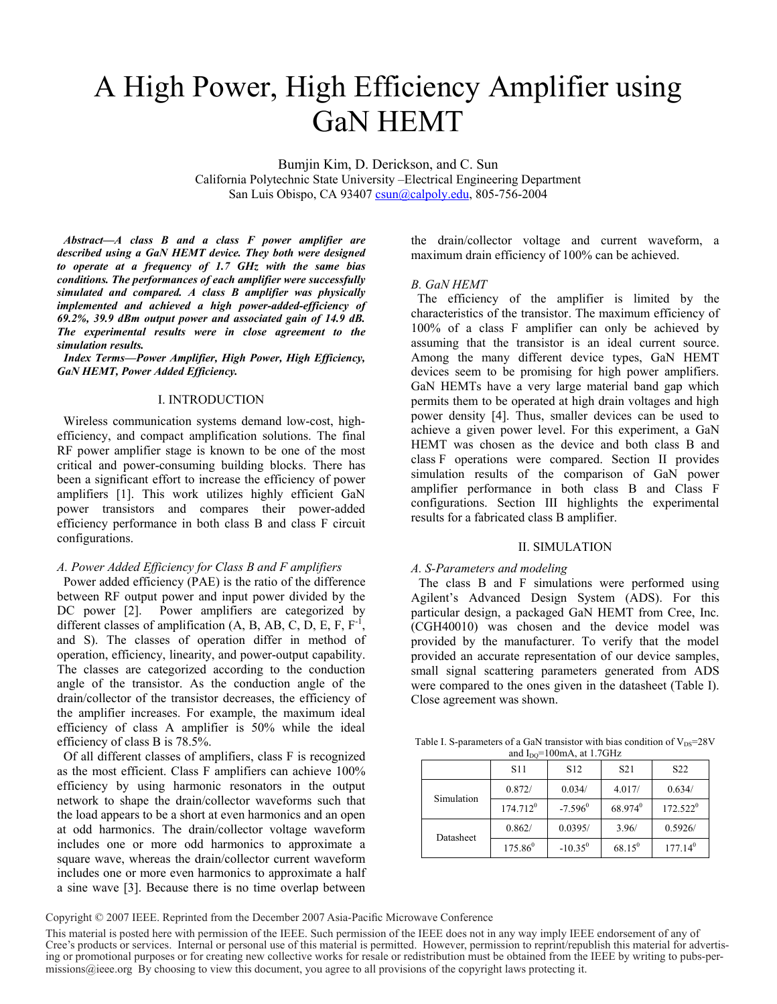# A High Power, High Efficiency Amplifier using GaN HEMT

Bumjin Kim, D. Derickson, and C. Sun California Polytechnic State University –Electrical Engineering Department San Luis Obispo, CA 93407 csun@calpoly.edu, 805-756-2004

*Abstract—A class B and a class F power amplifier are described using a GaN HEMT device. They both were designed to operate at a frequency of 1.7 GHz with the same bias conditions. The performances of each amplifier were successfully simulated and compared. A class B amplifier was physically implemented and achieved a high power-added-efficiency of 69.2%, 39.9 dBm output power and associated gain of 14.9 dB. The experimental results were in close agreement to the simulation results.* 

*Index Terms—Power Amplifier, High Power, High Efficiency, GaN HEMT, Power Added Efficiency.* 

## I. INTRODUCTION

 Wireless communication systems demand low-cost, highefficiency, and compact amplification solutions. The final RF power amplifier stage is known to be one of the most critical and power-consuming building blocks. There has been a significant effort to increase the efficiency of power amplifiers [1]. This work utilizes highly efficient GaN power transistors and compares their power-added efficiency performance in both class B and class F circuit configurations.

# *A. Power Added Efficiency for Class B and F amplifiers*

 Power added efficiency (PAE) is the ratio of the difference between RF output power and input power divided by the DC power [2]. Power amplifiers are categorized by different classes of amplification  $(A, B, AB, C, D, E, F, F<sup>-1</sup>,$ and S). The classes of operation differ in method of operation, efficiency, linearity, and power-output capability. The classes are categorized according to the conduction angle of the transistor. As the conduction angle of the drain/collector of the transistor decreases, the efficiency of the amplifier increases. For example, the maximum ideal efficiency of class A amplifier is 50% while the ideal efficiency of class B is 78.5%.

 Of all different classes of amplifiers, class F is recognized as the most efficient. Class F amplifiers can achieve 100% efficiency by using harmonic resonators in the output network to shape the drain/collector waveforms such that the load appears to be a short at even harmonics and an open at odd harmonics. The drain/collector voltage waveform includes one or more odd harmonics to approximate a square wave, whereas the drain/collector current waveform includes one or more even harmonics to approximate a half a sine wave [3]. Because there is no time overlap between

the drain/collector voltage and current waveform, a maximum drain efficiency of 100% can be achieved.

## *B. GaN HEMT*

 The efficiency of the amplifier is limited by the characteristics of the transistor. The maximum efficiency of 100% of a class F amplifier can only be achieved by assuming that the transistor is an ideal current source. Among the many different device types, GaN HEMT devices seem to be promising for high power amplifiers. GaN HEMTs have a very large material band gap which permits them to be operated at high drain voltages and high power density [4]. Thus, smaller devices can be used to achieve a given power level. For this experiment, a GaN HEMT was chosen as the device and both class B and class F operations were compared. Section II provides simulation results of the comparison of GaN power amplifier performance in both class B and Class F configurations. Section III highlights the experimental results for a fabricated class B amplifier.

## II. SIMULATION

#### *A. S-Parameters and modeling*

The class B and F simulations were performed using Agilent's Advanced Design System (ADS). For this particular design, a packaged GaN HEMT from Cree, Inc. (CGH40010) was chosen and the device model was provided by the manufacturer. To verify that the model provided an accurate representation of our device samples, small signal scattering parameters generated from ADS were compared to the ones given in the datasheet (Table I). Close agreement was shown.

Table I. S-parameters of a GaN transistor with bias condition of  $V_{DS}=28V$ and  $I_{DO}$ =100mA, at 1.7GHz

|            | <b>S11</b>  | S <sub>12</sub>  | S <sub>21</sub>     | S <sub>22</sub>     |
|------------|-------------|------------------|---------------------|---------------------|
| Simulation | 0.872/      | 0.034/           | 4.017/              | 0.634/              |
|            | $174.712^0$ | $-7.596^{\circ}$ | 68.974 <sup>0</sup> | $172.522^0$         |
| Datasheet  | 0.862/      | 0.0395/          | 3.96/               | 0.5926/             |
|            | $175.86^0$  | $-10.35^0$       | $68.15^{0}$         | 177.14 <sup>0</sup> |

Copyright © 2007 IEEE. Reprinted from the December 2007 Asia-Pacific Microwave Conference

This material is posted here with permission of the IEEE. Such permission of the IEEE does not in any way imply IEEE endorsement of any of Cree's products or services. Internal or personal use of this material is permitted. However, permission to reprint/republish this material for advertising or promotional purposes or for creating new collective works for r missions@ieee.org By choosing to view this document, you agree to all provisions of the copyright laws protecting it.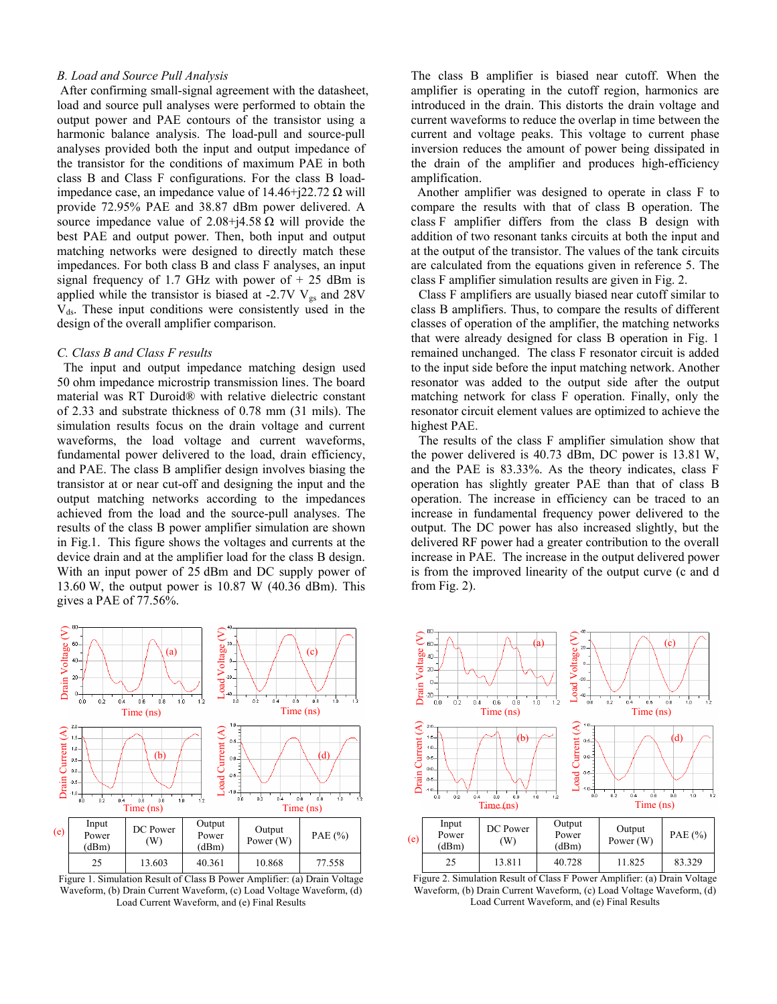## *B. Load and Source Pull Analysis*

 After confirming small-signal agreement with the datasheet, load and source pull analyses were performed to obtain the output power and PAE contours of the transistor using a harmonic balance analysis. The load-pull and source-pull analyses provided both the input and output impedance of the transistor for the conditions of maximum PAE in both class B and Class F configurations. For the class B loadimpedance case, an impedance value of  $14.46+j22.72 \Omega$  will provide 72.95% PAE and 38.87 dBm power delivered. A source impedance value of  $2.08+j4.58 \Omega$  will provide the best PAE and output power. Then, both input and output matching networks were designed to directly match these impedances. For both class B and class F analyses, an input signal frequency of 1.7 GHz with power of  $+ 25$  dBm is applied while the transistor is biased at -2.7V  $V_{gs}$  and 28V  $V_{ds}$ . These input conditions were consistently used in the design of the overall amplifier comparison.

#### *C. Class B and Class F results*

 The input and output impedance matching design used 50 ohm impedance microstrip transmission lines. The board material was RT Duroid® with relative dielectric constant of 2.33 and substrate thickness of 0.78 mm (31 mils). The simulation results focus on the drain voltage and current waveforms, the load voltage and current waveforms, fundamental power delivered to the load, drain efficiency, and PAE. The class B amplifier design involves biasing the transistor at or near cut-off and designing the input and the output matching networks according to the impedances achieved from the load and the source-pull analyses. The results of the class B power amplifier simulation are shown in Fig.1. This figure shows the voltages and currents at the device drain and at the amplifier load for the class B design. With an input power of 25 dBm and DC supply power of 13.60 W, the output power is 10.87 W (40.36 dBm). This gives a PAE of 77.56%.



Figure 1. Simulation Result of Class B Power Amplifier: (a) Drain Voltage Waveform, (b) Drain Current Waveform, (c) Load Voltage Waveform, (d) Load Current Waveform, and (e) Final Results

The class B amplifier is biased near cutoff. When the amplifier is operating in the cutoff region, harmonics are introduced in the drain. This distorts the drain voltage and current waveforms to reduce the overlap in time between the current and voltage peaks. This voltage to current phase inversion reduces the amount of power being dissipated in the drain of the amplifier and produces high-efficiency amplification.

 Another amplifier was designed to operate in class F to compare the results with that of class B operation. The class F amplifier differs from the class B design with addition of two resonant tanks circuits at both the input and at the output of the transistor. The values of the tank circuits are calculated from the equations given in reference 5. The class F amplifier simulation results are given in Fig. 2.

Class F amplifiers are usually biased near cutoff similar to class B amplifiers. Thus, to compare the results of different classes of operation of the amplifier, the matching networks that were already designed for class B operation in Fig. 1 remained unchanged. The class F resonator circuit is added to the input side before the input matching network. Another resonator was added to the output side after the output matching network for class F operation. Finally, only the resonator circuit element values are optimized to achieve the highest PAE.

The results of the class F amplifier simulation show that the power delivered is 40.73 dBm, DC power is 13.81 W, and the PAE is 83.33%. As the theory indicates, class F operation has slightly greater PAE than that of class B operation. The increase in efficiency can be traced to an increase in fundamental frequency power delivered to the output. The DC power has also increased slightly, but the delivered RF power had a greater contribution to the overall increase in PAE. The increase in the output delivered power is from the improved linearity of the output curve (c and d from Fig. 2).



Figure 2. Simulation Result of Class F Power Amplifier: (a) Drain Voltage Waveform, (b) Drain Current Waveform, (c) Load Voltage Waveform, (d) Load Current Waveform, and (e) Final Results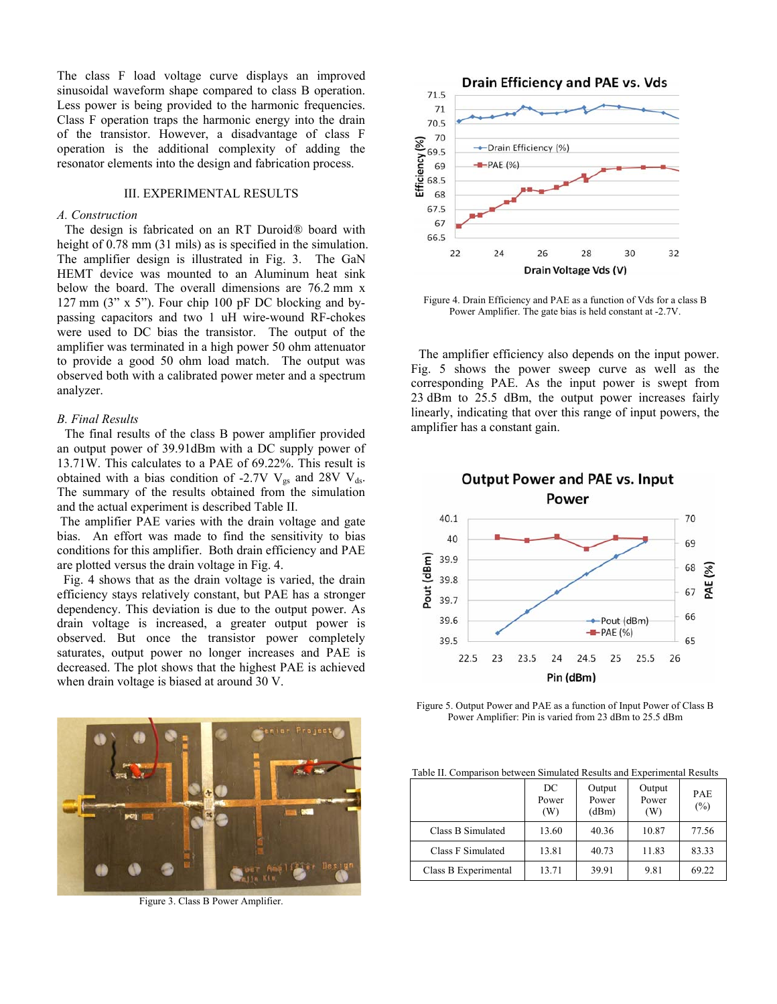The class F load voltage curve displays an improved sinusoidal waveform shape compared to class B operation. Less power is being provided to the harmonic frequencies. Class F operation traps the harmonic energy into the drain of the transistor. However, a disadvantage of class F operation is the additional complexity of adding the resonator elements into the design and fabrication process.

## III. EXPERIMENTAL RESULTS

# *A. Construction*

The design is fabricated on an RT Duroid® board with height of 0.78 mm (31 mils) as is specified in the simulation. The amplifier design is illustrated in Fig. 3. The GaN HEMT device was mounted to an Aluminum heat sink below the board. The overall dimensions are 76.2 mm x 127 mm (3" x 5"). Four chip 100 pF DC blocking and bypassing capacitors and two 1 uH wire-wound RF-chokes were used to DC bias the transistor. The output of the amplifier was terminated in a high power 50 ohm attenuator to provide a good 50 ohm load match. The output was observed both with a calibrated power meter and a spectrum analyzer.

## *B. Final Results*

The final results of the class B power amplifier provided an output power of 39.91dBm with a DC supply power of 13.71W. This calculates to a PAE of 69.22%. This result is obtained with a bias condition of -2.7V  $V_{gs}$  and 28V  $V_{ds}$ . The summary of the results obtained from the simulation and the actual experiment is described Table II.

 The amplifier PAE varies with the drain voltage and gate bias. An effort was made to find the sensitivity to bias conditions for this amplifier. Both drain efficiency and PAE are plotted versus the drain voltage in Fig. 4.

 Fig. 4 shows that as the drain voltage is varied, the drain efficiency stays relatively constant, but PAE has a stronger dependency. This deviation is due to the output power. As drain voltage is increased, a greater output power is observed. But once the transistor power completely saturates, output power no longer increases and PAE is decreased. The plot shows that the highest PAE is achieved when drain voltage is biased at around 30 V.



Figure 3. Class B Power Amplifier.



Figure 4. Drain Efficiency and PAE as a function of Vds for a class B Power Amplifier. The gate bias is held constant at -2.7V.

The amplifier efficiency also depends on the input power. Fig. 5 shows the power sweep curve as well as the corresponding PAE. As the input power is swept from 23 dBm to 25.5 dBm, the output power increases fairly linearly, indicating that over this range of input powers, the amplifier has a constant gain.



Figure 5. Output Power and PAE as a function of Input Power of Class B Power Amplifier: Pin is varied from 23 dBm to 25.5 dBm

Table II. Comparison between Simulated Results and Experimental Results

|                      | DC<br>Power<br>(W) | Output<br>Power<br>(dBm) | Output<br>Power<br>(W) | <b>PAE</b><br>$(\% )$ |
|----------------------|--------------------|--------------------------|------------------------|-----------------------|
| Class B Simulated    | 13.60              | 40.36                    | 10.87                  | 77.56                 |
| Class F Simulated    | 13.81              | 40.73                    | 11.83                  | 83.33                 |
| Class B Experimental | 13.71              | 39.91                    | 9.81                   | 69.22                 |